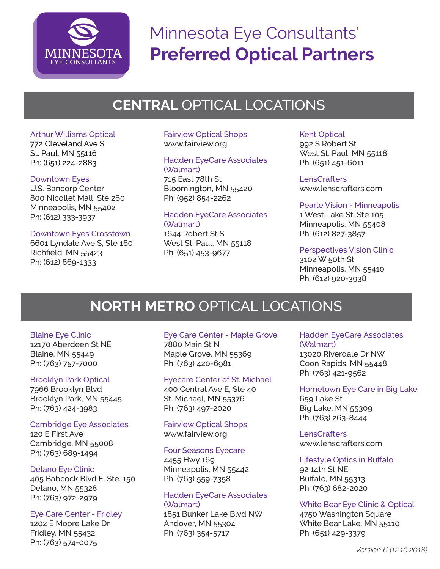

# Minnesota Eye Consultants' **Preferred Optical Partners**

## **CENTRAL** OPTICAL LOCATIONS

## Arthur Williams Optical

772 Cleveland Ave S St. Paul, MN 55116 Ph: (651) 224-2883

#### Downtown Eyes

U.S. Bancorp Center 800 Nicollet Mall, Ste 260 Minneapolis, MN 55402 Ph: (612) 333-3937

## Downtown Eyes Crosstown

6601 Lyndale Ave S, Ste 160 Richfield, MN 55423 Ph: (612) 869-1333

#### Fairview Optical Shops www.fairview.org

## Hadden EyeCare Associates (Walmart)

715 East 78th St Bloomington, MN 55420 Ph: (952) 854-2262

#### Hadden EyeCare Associates (Walmart)

1644 Robert St S West St. Paul, MN 55118 Ph: (651) 453-9677

## Kent Optical

992 S Robert St West St. Paul, MN 55118 Ph: (651) 451-6011

#### **LensCrafters**

www.lenscrafters.com

## Pearle Vision - Minneapolis

1 West Lake St, Ste 105 Minneapolis, MN 55408 Ph: (612) 827-3857

#### Perspectives Vision Clinic

3102 W 50th St Minneapolis, MN 55410 Ph: (612) 920-3938

## **NORTH METRO** OPTICAL LOCATIONS

## Blaine Eye Clinic

12170 Aberdeen St NE Blaine, MN 55449 Ph: (763) 757-7000

## Brooklyn Park Optical

7966 Brooklyn Blvd Brooklyn Park, MN 55445 Ph: (763) 424-3983

## Cambridge Eye Associates

120 E First Ave Cambridge, MN 55008 Ph: (763) 689-1494

## Delano Eye Clinic

405 Babcock Blvd E, Ste. 150 Delano, MN 55328 Ph: (763) 972-2979

## Eye Care Center - Fridley

1202 E Moore Lake Dr Fridley, MN 55432 Ph: (763) 574-0075

#### Eye Care Center - Maple Grove 7880 Main St N Maple Grove, MN 55369 Ph: (763) 420-6981

#### Eyecare Center of St. Michael

400 Central Ave E, Ste 40 St. Michael, MN 55376 Ph: (763) 497-2020

#### Fairview Optical Shops www.fairview.org

## Four Seasons Eyecare

4455 Hwy 169 Minneapolis, MN 55442 Ph: (763) 559-7358

## Hadden EyeCare Associates (Walmart)

1851 Bunker Lake Blvd NW Andover, MN 55304 Ph: (763) 354-5717

## Hadden EyeCare Associates (Walmart)

13020 Riverdale Dr NW Coon Rapids, MN 55448 Ph: (763) 421-9562

#### Hometown Eye Care in Big Lake 659 Lake St Big Lake, MN 55309 Ph: (763) 263-8444

**LensCrafters** www.lenscrafters.com

## Lifestyle Optics in Buffalo

92 14th St NE Buffalo, MN 55313 Ph: (763) 682-2020

## White Bear Eye Clinic & Optical

4750 Washington Square White Bear Lake, MN 55110 Ph: (651) 429-3379